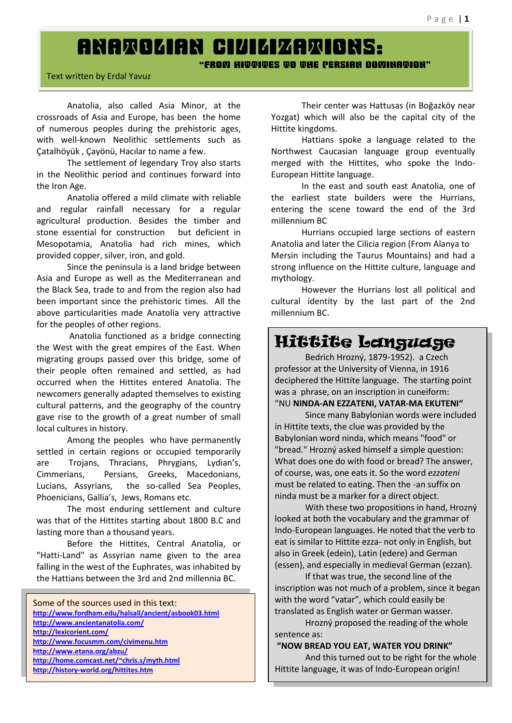# ANATOLIAN CIVILIZATIONS:

" FROM HIMMIMES NO MHE PERSIAN DOMINAMION"

#### Text written by Erdal Yavuz

Anatolia, also called Asia Minor, at the crossroads of Asia and Europe, has been the home of numerous peoples during the prehistoric ages, with well-known Neolithic settlements such as Catalhöyük, Çayönü, Hacılar to name a few.

The settlement of legendary Troy also starts in the Neolithic period and continues forward into the Iron Age.

Anatolia offered a mild climate with reliable and regular rainfall necessary for a regular agricultural production. Besides the timber and stone essential for construction but deficient in Mesopotamia, Anatolia had rich mines, which provided copper, silver, iron, and gold.

Since the peninsula is a land bridge between Asia and Europe as well as the Mediterranean and the Black Sea, trade to and from the region also had been important since the prehistoric times. All the above particularities made Anatolia very attractive for the peoples of other regions.

Anatolia functioned as a bridge connecting the West with the great empires of the East. When migrating groups passed over this bridge, some of their people often remained and settled, as had occurred when the Hittites entered Anatolia. The newcomers generally adapted themselves to existing cultural patterns, and the geography of the country gave rise to the growth of a great number of small local cultures in history.

Among the peoples who have permanently settled in certain regions or occupied temporarily are Trojans, Thracians, Phrygians, Lydian's, Cimmerians, Persians, Greeks, Macedonians, Lucians, Assyrians, the so-called Sea Peoples, Phoenicians, Gallia's, Jews, Romans etc.

The most enduring settlement and culture was that of the Hittites starting about 1800 B.C and lasting more than a thousand years.

Before the Hittites, Central Anatolia, or "Hatti-Land" as Assyrian name given to the area falling in the west of the Euphrates, was inhabited by the Hattians between the 3rd and 2nd millennia BC.

Some of the sources used in this text: **<http://www.fordham.edu/halsall/ancient/asbook03.html> <http://www.ancientanatolia.com/> <http://lexicorient.com/> <http://www.focusmm.com/civimenu.htm> <http://www.etana.org/abzu/> <http://home.comcast.net/~chris.s/myth.html> <http://history-world.org/hittites.htm>**

Their center was Hattusas (in Boğazköy near Yozgat) which will also be the capital city of the Hittite kingdoms.

Hattians spoke a language related to the Northwest Caucasian language group eventually merged with the Hittites, who spoke the Indo-European Hittite language.

In the east and south east Anatolia, one of the earliest state builders were the Hurrians, entering the scene toward the end of the 3rd millennium BC

Hurrians occupied large sections of eastern Anatolia and later the Cilicia region (From Alanya to Mersin including the Taurus Mountains) and had a strong influence on the Hittite culture, language and mythology.

However the Hurrians lost all political and cultural identity by the last part of the 2nd millennium BC.

# Hittite Language

Bedrich Hrozný, 1879-1952). a Czech professor at the University of Vienna, in 1916 deciphered the Hittite language. The starting point was a phrase, on an inscription in cuneiform: "N U **NINDA-AN EZZATENI, VATAR-M A EKU TEN I"**

Since many Babylonian words were included in Hittite texts, the clue was provided by the Babylonian word ninda, which means "food" or "bread." Hrozný asked himself a simple question: What does one do with food or bread? The answer, of course, was, one eats it. So the word *ezzateni*  must be related to eating. Then the -an suffix on ninda must be a marker for a direct object.

With these two propositions in hand, Hrozný looked at both the vocabulary and the grammar of Indo-European languages. He noted that the verb to eat is similar to Hittite ezza- not only in English, but also in Greek (edein), Latin (edere) and German (essen), and especially in medieval German (ezzan).

If that was true, the second line of the inscription was not much of a problem, since it began with the word "vatar", which could easily be translated as English water or German wasser.

Hrozný proposed the reading of the whole sentence as:

## "NOW BREAD YOU EAT, WATER YOU DRINK"

And this turned out to be right for the whole Hittite language, it was of Indo-European origin!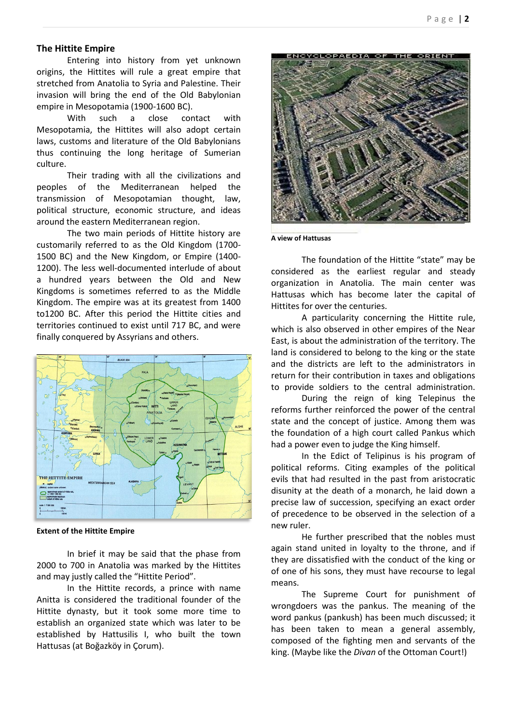## **The Hittite Empire**

Entering into history from yet unknown origins, the Hittites will rule a great empire that stretched from Anatolia to Syria and Palestine. Their invasion will bring the end of the Old Babylonian empire in Mesopotamia (1900-1600 BC).

With such a close contact with Mesopotamia, the Hittites will also adopt certain laws, customs and literature of the Old Babylonians thus continuing the long heritage of Sumerian culture.

Their trading with all the civilizations and peoples of the Mediterranean helped the transmission of Mesopotamian thought, law, political structure, economic structure, and ideas around the eastern Mediterranean region.

The two main periods of Hittite history are customarily referred to as the Old Kingdom (1700- 1500 BC) and the New Kingdom, or Empire (1400- 1200). The less well-documented interlude of about a hundred years between the Old and New Kingdoms is sometimes referred to as the Middle Kingdom. The empire was at its greatest from 1400 to1200 BC. After this period the Hittite cities and territories continued to exist until 717 BC, and were finally conquered by Assyrians and others.



**Extent of the Hittite Empire**

In brief it may be said that the phase from 2000 to 700 in Anatolia was marked by the Hittites and may justly called the "Hittite Period".

In the Hittite records, a prince with name Anitta is considered the traditional founder of the Hittite dynasty, but it took some more time to establish an organized state which was later to be established by Hattusilis I, who built the town Hattusas (at Boğazköy in Corum).



**A view of Hattusas**

The foundation of the Hittite "state" may be considered as the earliest regular and steady organization in Anatolia. The main center was Hattusas which has become later the capital of Hittites for over the centuries.

A particularity concerning the Hittite rule, which is also observed in other empires of the Near East, is about the administration of the territory. The land is considered to belong to the king or the state and the districts are left to the administrators in return for their contribution in taxes and obligations to provide soldiers to the central administration.

During the reign of king Telepinus the reforms further reinforced the power of the central state and the concept of justice. Among them was the foundation of a high court called Pankus which had a power even to judge the King himself.

In the Edict of Telipinus is his program of political reforms. Citing examples of the political evils that had resulted in the past from aristocratic disunity at the death of a monarch, he laid down a precise law of succession, specifying an exact order of precedence to be observed in the selection of a new ruler.

He further prescribed that the nobles must again stand united in loyalty to the throne, and if they are dissatisfied with the conduct of the king or of one of his sons, they must have recourse to legal means.

The Supreme Court for punishment of wrongdoers was the pankus. The meaning of the word pankus (pankush) has been much discussed; it has been taken to mean a general assembly, composed of the fighting men and servants of the king. (Maybe like the *Divan* of the Ottoman Court!)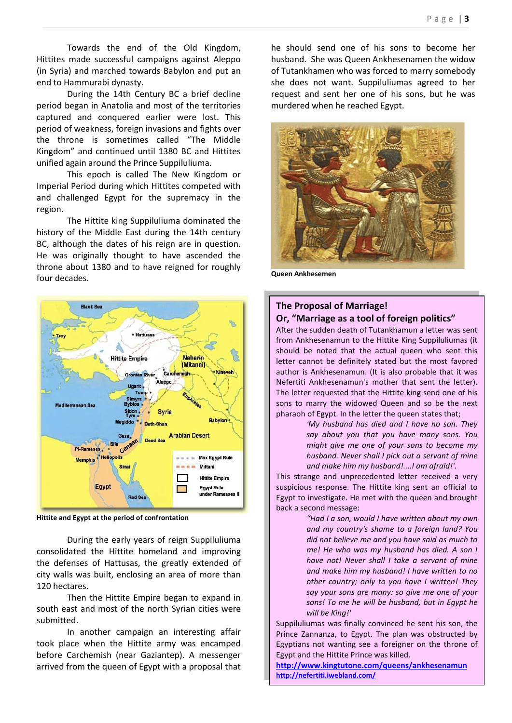Towards the end of the Old Kingdom, Hittites made successful campaigns against Aleppo (in Syria) and marched towards Babylon and put an end to Hammurabi dynasty.

During the 14th Century BC a brief decline period began in Anatolia and most of the territories captured and conquered earlier were lost. This period of weakness, foreign invasions and fights over the throne is sometimes called "The Middle Kingdom" and continued until 1380 BC and Hittites unified again around the Prince Suppiluliuma.

This epoch is called The New Kingdom or Imperial Period during which Hittites competed with and challenged Egypt for the supremacy in the region.

The Hittite king Suppiluliuma dominated the history of the Middle East during the 14th century BC, although the dates of his reign are in question. He was originally thought to have ascended the throne about 1380 and to have reigned for roughly four decades.



**Hittite and Egypt at the period of confrontation**

During the early years of reign Suppiluliuma consolidated the Hittite homeland and improving the defenses of Hattusas, the greatly extended of city walls was built, enclosing an area of more than 120 hectares.

Then the Hittite Empire began to expand in south east and most of the north Syrian cities were submitted.

In another campaign an interesting affair took place when the Hittite army was encamped before Carchemish (near Gaziantep). A messenger arrived from the queen of Egypt with a proposal that he should send one of his sons to become her husband. She was Queen Ankhesenamen the widow of Tutankhamen who was forced to marry somebody she does not want. Suppiluliumas agreed to her request and sent her one of his sons, but he was murdered when he reached Egypt.



**Queen Ankhesemen**

# **The Proposal of Marriage! Or, "M arriage as a tool of foreign politics"**

After the sudden death of Tutankhamun a letter was sent from Ankhesenamun to the Hittite King Suppiluliumas (it should be noted that the actual queen who sent this letter cannot be definitely stated but the most favored author is Ankhesenamun. (It is also probable that it was Nefertiti Ankhesenamun's mother that sent the letter). The letter requested that the Hittite king send one of his sons to marry the widowed Queen and so be the next pharaoh of Egypt. In the letter the queen states that;

> *'My husband has died and I have no son. They say about you that you have many sons. You might give me one of your sons to become my husband. Never shall I pick out a servant of mine and make him my husband!....I am afraid!'.*

This strange and unprecedented letter received a very suspicious response. The Hittite king sent an official to Egypt to investigate. He met with the queen and brought back a second message:

> "Had I a son, would I have written about my own *and my country's shame to a foreign land? You did not believe me and you have said as much to me! He who was my husband has died. A son I have not! Never shall I take a servant of mine and make him my husband! I have written to no other country; only to you have I written! They say your sons are many: so give me one of your sons! To me he will be husband, but in Egypt he will be King!'*

Suppiluliumas was finally convinced he sent his son, the Prince Zannanza, to Egypt. The plan was obstructed by Egyptians not wanting see a foreigner on the throne of Egypt and the Hittite Prince was killed.

**<http://www.kingtutone.com/queens/ankhesenamun> <http://nefertiti.iwebland.com/>**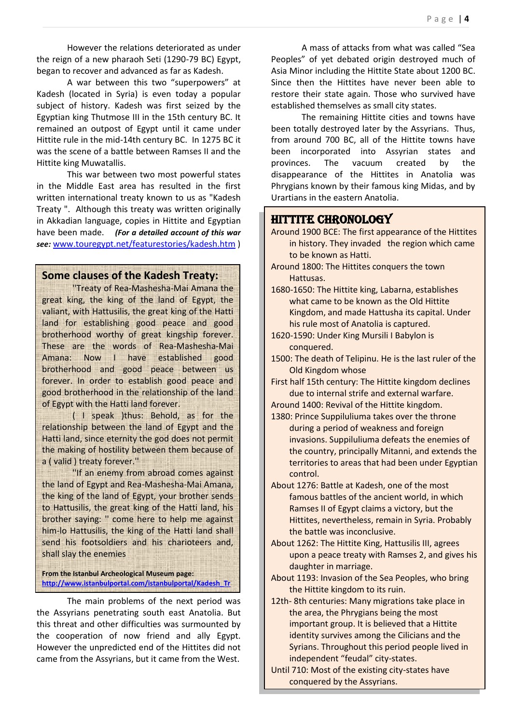However the relations deteriorated as under the reign of a new pharaoh Seti (1290-79 BC) Egypt, began to recover and advanced as far as Kadesh.

A war between this two "superpowers" at Kadesh (located in Syria) is even today a popular subject of history. Kadesh was first seized by the Egyptian king Thutmose III in the 15th century BC. It remained an outpost of Egypt until it came under Hittite rule in the mid-14th century BC. In 1275 BC it was the scene of a battle between Ramses II and the Hittite king Muwatallis.

This war between two most powerful states in the Middle East area has resulted in the first written international treaty known to us as "Kadesh Treaty ". Although this treaty was written originally in Akkadian language, copies in Hittite and Egyptian have been made. *(For a detailed account of this war see:* [www.touregypt.net/featurestories/kadesh.htm](http://www.touregypt.net/featurestories/kadesh.htm) )

# **Some clauses of the Kadesh Treaty:**

''Treaty of Rea-Mashesha-Mai Amana the great king, the king of the land of Egypt, the valiant, with Hattusilis, the great king of the Hatti land for establishing good peace and good brotherhood worthy of great kingship forever. These are the words of Rea-Mashesha-Mai Amana: Now I have established good brotherhood and good peace between us forever. In order to establish good peace and good brotherhood in the relationship of the land of Egypt with the Hatti land forever.

( I speak )thus: Behold, as for the relationship between the land of Egypt and the Hatti land, since eternity the god does not permit the making of hostility between them because of a ( valid ) treaty forever.''

''If an enemy from abroad comes against the land of Egypt and Rea-Mashesha-Mai Amana, the king of the land of Egypt, your brother sends to Hattusilis, the great king of the Hatti land, his brother saying: '' come here to help me against him-lo Hattusilis, the king of the Hatti land shall send his footsoldiers and his charioteers and, shall slay the enemies

**From the Istanbul Archeological Museum page: [http://www.istanbulportal.com/istanbulportal/Kadesh\\_Tr](http://www.istanbulportal.com/istanbulportal/Kadesh_Treaty.aspx)**

The main problems of the next period was the Assyrians penetrating south east Anatolia. But this threat and other difficulties was surmounted by the cooperation of now friend and ally Egypt. However the unpredicted end of the Hittites did not came from the Assyrians, but it came from the West. **[eaty.aspx](http://www.istanbulportal.com/istanbulportal/Kadesh_Treaty.aspx)**

A mass of attacks from what was called "Sea Peoples" of yet debated origin destroyed much of Asia Minor including the Hittite State about 1200 BC. Since then the Hittites have never been able to restore their state again. Those who survived have established themselves as small city states.

The remaining Hittite cities and towns have been totally destroyed later by the Assyrians. Thus, from around 700 BC, all of the Hittite towns have been incorporated into Assyrian states and provinces. The vacuum created by the disappearance of the Hittites in Anatolia was Phrygians known by their famous king Midas, and by Urartians in the eastern Anatolia.

# HITTITE CHRONOLOGY

- Around 1900 BCE: The first appearance of the Hittites in history. They invaded the region which came to be known as Hatti.
- Around 1800: The Hittites conquers the town Hattusas.
- 1680-1650: The Hittite king, Labarna, establishes what came to be known as the Old Hittite Kingdom, and made Hattusha its capital. Under his rule most of Anatolia is captured.
- 1620-1590: Under King Mursili I Babylon is conquered.
- 1500: The death of Telipinu. He is the last ruler of the Old Kingdom whose
- First half 15th century: The Hittite kingdom declines due to internal strife and external warfare.
- Around 1400: Revival of the Hittite kingdom.
- 1380: Prince Suppiluliuma takes over the throne during a period of weakness and foreign invasions. Suppiluliuma defeats the enemies of the country, principally Mitanni, and extends the territories to areas that had been under Egyptian control.
- About 1276: Battle at Kadesh, one of the most famous battles of the ancient world, in which Ramses II of Egypt claims a victory, but the Hittites, nevertheless, remain in Syria. Probably the battle was inconclusive.
- About 1262: The Hittite King, Hattusilis III, agrees upon a peace treaty with Ramses 2, and gives his daughter in marriage.
- About 1193: Invasion of the Sea Peoples, who bring the Hittite kingdom to its ruin.
- 12th- 8th centuries: Many migrations take place in the area, the Phrygians being the most important group. It is believed that a Hittite identity survives among the Cilicians and the Syrians. Throughout this period people lived in independent "feudal" city-states.
- Until 710: Most of the existing city-states have conquered by the Assyrians.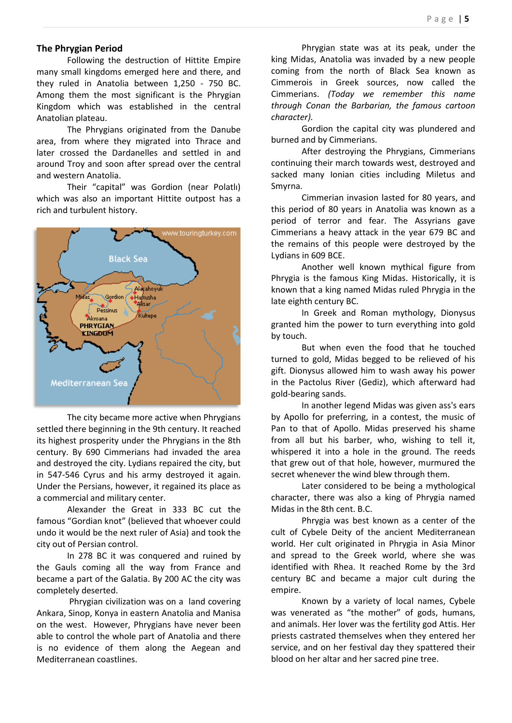## **The Phrygian Period**

Following the destruction of Hittite Empire many small kingdoms emerged here and there, and they ruled in Anatolia between 1,250 - 750 BC. Among them the most significant is the Phrygian Kingdom which was established in the central Anatolian plateau.

The Phrygians originated from the Danube area, from where they migrated into Thrace and later crossed the Dardanelles and settled in and around Troy and soon after spread over the central and western Anatolia.

Their "capital" was Gordion (near Polatlı) which was also an important Hittite outpost has a rich and turbulent history.



The city became more active when Phrygians settled there beginning in the 9th century. It reached its highest prosperity under the Phrygians in the 8th century. By 690 Cimmerians had invaded the area and destroyed the city. Lydians repaired the city, but in 547-546 Cyrus and his army destroyed it again. Under the Persians, however, it regained its place as a commercial and military center.

Alexander the Great in 333 BC cut the famous "Gordian knot" (believed that whoever could undo it would be the next ruler of Asia) and took the city out of Persian control.

In 278 BC it was conquered and ruined by the Gauls coming all the way from France and became a part of the Galatia. By 200 AC the city was completely deserted.

Phrygian civilization was on a land covering Ankara, Sinop, Konya in eastern Anatolia and Manisa on the west. However, Phrygians have never been able to control the whole part of Anatolia and there is no evidence of them along the Aegean and Mediterranean coastlines.

Phrygian state was at its peak, under the king Midas, Anatolia was invaded by a new people coming from the north of Black Sea known as Cimmerois in Greek sources, now called the Cimmerians. *(Today we remember this name through Conan the Barbarian, the famous cartoon character).*

Gordion the capital city was plundered and burned and by Cimmerians.

After destroying the Phrygians, Cimmerians continuing their march towards west, destroyed and sacked many Ionian cities including Miletus and Smyrna.

Cimmerian invasion lasted for 80 years, and this period of 80 years in Anatolia was known as a period of terror and fear. The Assyrians gave Cimmerians a heavy attack in the year 679 BC and the remains of this people were destroyed by the Lydians in 609 BCE.

Another well known mythical figure from Phrygia is the famous King Midas. Historically, it is known that a king named Midas ruled Phrygia in the late eighth century BC.

In Greek and Roman mythology, Dionysus granted him the power to turn everything into gold by touch.

But when even the food that he touched turned to gold, Midas begged to be relieved of his gift. Dionysus allowed him to wash away his power in the Pactolus River (Gediz), which afterward had gold-bearing sands.

In another legend Midas was given ass's ears by Apollo for preferring, in a contest, the music of Pan to that of Apollo. Midas preserved his shame from all but his barber, who, wishing to tell it, whispered it into a hole in the ground. The reeds that grew out of that hole, however, murmured the secret whenever the wind blew through them.

Later considered to be being a mythological character, there was also a king of Phrygia named Midas in the 8th cent. B.C.

Phrygia was best known as a center of the cult of Cybele Deity of the ancient Mediterranean world. Her cult originated in Phrygia in Asia Minor and spread to the Greek world, where she was identified with Rhea. It reached Rome by the 3rd century BC and became a major cult during the empire.

Known by a variety of local names, Cybele was venerated as "the mother" of gods, humans, and animals. Her lover was the fertility god Attis. Her priests castrated themselves when they entered her service, and on her festival day they spattered their blood on her altar and her sacred pine tree.